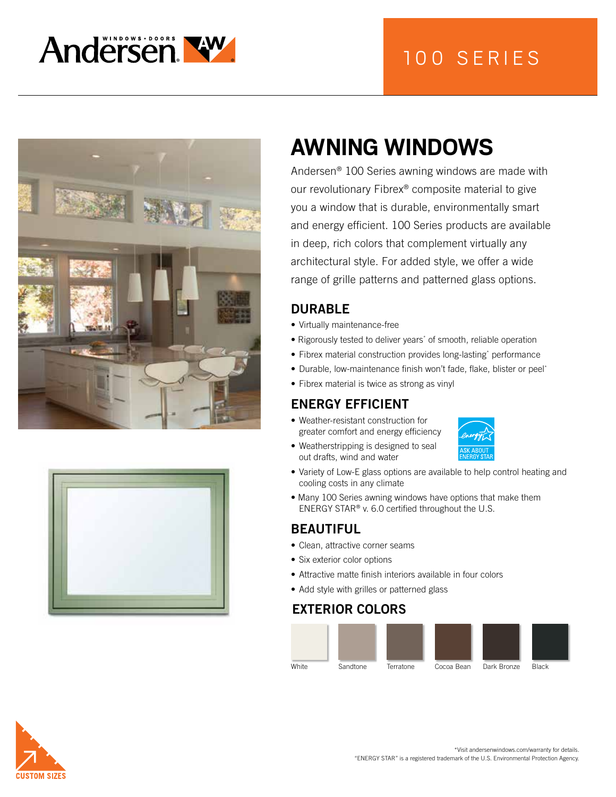







# **AWNING WINDOWS**

Andersen® 100 Series awning windows are made with our revolutionary Fibrex® composite material to give you a window that is durable, environmentally smart and energy efficient. 100 Series products are available in deep, rich colors that complement virtually any architectural style. For added style, we offer a wide range of grille patterns and patterned glass options.

## DURABLE

- Virtually maintenance-free
- Rigorously tested to deliver years<sup>\*</sup> of smooth, reliable operation
- Fibrex material construction provides long-lasting\* performance
- Durable, low-maintenance finish won't fade, flake, blister or peel\*
- Fibrex material is twice as strong as vinyl

# ENERGY EFFICIENT

- Weather-resistant construction for greater comfort and energy efficiency
- Weatherstripping is designed to seal out drafts, wind and water



- Variety of Low-E glass options are available to help control heating and cooling costs in any climate
- Many 100 Series awning windows have options that make them ENERGY STAR® v. 6.0 certified throughout the U.S.

#### BEAUTIFUL

- Clean, attractive corner seams
- Six exterior color options
- Attractive matte finish interiors available in four colors
- Add style with grilles or patterned glass

#### EXTERIOR COLORS